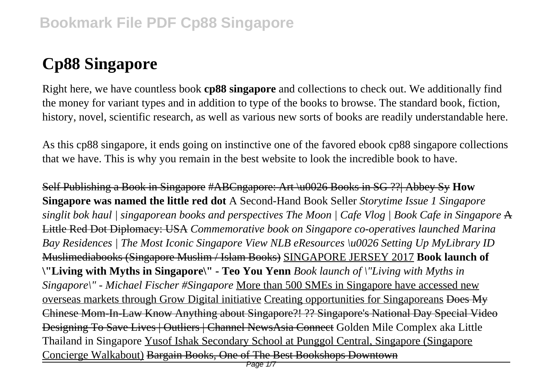# **Cp88 Singapore**

Right here, we have countless book **cp88 singapore** and collections to check out. We additionally find the money for variant types and in addition to type of the books to browse. The standard book, fiction, history, novel, scientific research, as well as various new sorts of books are readily understandable here.

As this cp88 singapore, it ends going on instinctive one of the favored ebook cp88 singapore collections that we have. This is why you remain in the best website to look the incredible book to have.

Self Publishing a Book in Singapore #ABCngapore: Art \u0026 Books in SG ??| Abbey Sy **How Singapore was named the little red dot** A Second-Hand Book Seller *Storytime Issue 1 Singapore singlit bok haul | singaporean books and perspectives The Moon | Cafe Vlog | Book Cafe in Singapore* A Little Red Dot Diplomacy: USA *Commemorative book on Singapore co-operatives launched Marina Bay Residences | The Most Iconic Singapore View NLB eResources \u0026 Setting Up MyLibrary ID* Muslimediabooks (Singapore Muslim / Islam Books) SINGAPORE JERSEY 2017 **Book launch of \"Living with Myths in Singapore\" - Teo You Yenn** *Book launch of \"Living with Myths in Singapore\" - Michael Fischer #Singapore* More than 500 SMEs in Singapore have accessed new overseas markets through Grow Digital initiative Creating opportunities for Singaporeans Does My Chinese Mom-In-Law Know Anything about Singapore?! ?? Singapore's National Day Special Video Designing To Save Lives | Outliers | Channel NewsAsia Connect Golden Mile Complex aka Little Thailand in Singapore Yusof Ishak Secondary School at Punggol Central, Singapore (Singapore Concierge Walkabout) Bargain Books, One of The Best Bookshops Downtown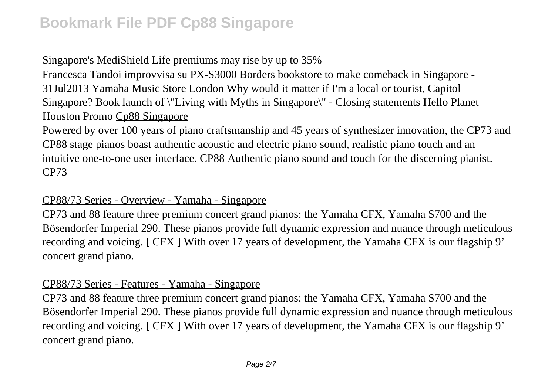# Singapore's MediShield Life premiums may rise by up to 35%

Francesca Tandoi improvvisa su PX-S3000 Borders bookstore to make comeback in Singapore - 31Jul2013 Yamaha Music Store London Why would it matter if I'm a local or tourist, Capitol Singapore? Book launch of \"Living with Myths in Singapore\" - Closing statements Hello Planet Houston Promo Cp88 Singapore

Powered by over 100 years of piano craftsmanship and 45 years of synthesizer innovation, the CP73 and CP88 stage pianos boast authentic acoustic and electric piano sound, realistic piano touch and an intuitive one-to-one user interface. CP88 Authentic piano sound and touch for the discerning pianist. CP73

# CP88/73 Series - Overview - Yamaha - Singapore

CP73 and 88 feature three premium concert grand pianos: the Yamaha CFX, Yamaha S700 and the Bösendorfer Imperial 290. These pianos provide full dynamic expression and nuance through meticulous recording and voicing. [ CFX ] With over 17 years of development, the Yamaha CFX is our flagship 9' concert grand piano.

### CP88/73 Series - Features - Yamaha - Singapore

CP73 and 88 feature three premium concert grand pianos: the Yamaha CFX, Yamaha S700 and the Bösendorfer Imperial 290. These pianos provide full dynamic expression and nuance through meticulous recording and voicing. [ CFX ] With over 17 years of development, the Yamaha CFX is our flagship 9' concert grand piano.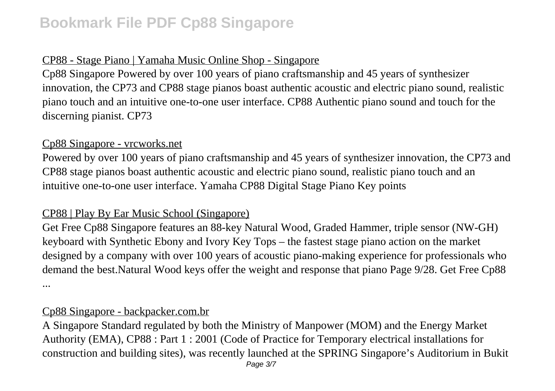# CP88 - Stage Piano | Yamaha Music Online Shop - Singapore

Cp88 Singapore Powered by over 100 years of piano craftsmanship and 45 years of synthesizer innovation, the CP73 and CP88 stage pianos boast authentic acoustic and electric piano sound, realistic piano touch and an intuitive one-to-one user interface. CP88 Authentic piano sound and touch for the discerning pianist. CP73

### Cp88 Singapore - vrcworks.net

Powered by over 100 years of piano craftsmanship and 45 years of synthesizer innovation, the CP73 and CP88 stage pianos boast authentic acoustic and electric piano sound, realistic piano touch and an intuitive one-to-one user interface. Yamaha CP88 Digital Stage Piano Key points

### CP88 | Play By Ear Music School (Singapore)

Get Free Cp88 Singapore features an 88-key Natural Wood, Graded Hammer, triple sensor (NW-GH) keyboard with Synthetic Ebony and Ivory Key Tops – the fastest stage piano action on the market designed by a company with over 100 years of acoustic piano-making experience for professionals who demand the best.Natural Wood keys offer the weight and response that piano Page 9/28. Get Free Cp88 ...

#### Cp88 Singapore - backpacker.com.br

A Singapore Standard regulated by both the Ministry of Manpower (MOM) and the Energy Market Authority (EMA), CP88 : Part 1 : 2001 (Code of Practice for Temporary electrical installations for construction and building sites), was recently launched at the SPRING Singapore's Auditorium in Bukit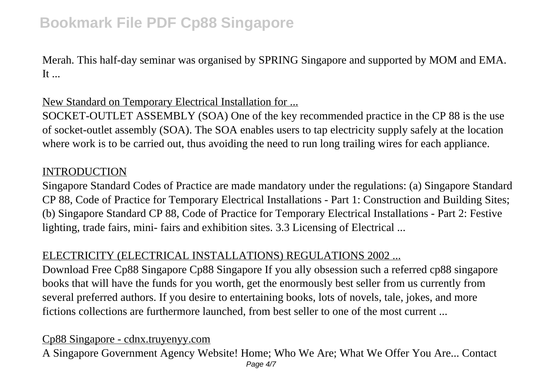Merah. This half-day seminar was organised by SPRING Singapore and supported by MOM and EMA.  $It...$ 

New Standard on Temporary Electrical Installation for ...

SOCKET-OUTLET ASSEMBLY (SOA) One of the key recommended practice in the CP 88 is the use of socket-outlet assembly (SOA). The SOA enables users to tap electricity supply safely at the location where work is to be carried out, thus avoiding the need to run long trailing wires for each appliance.

### INTRODUCTION

Singapore Standard Codes of Practice are made mandatory under the regulations: (a) Singapore Standard CP 88, Code of Practice for Temporary Electrical Installations - Part 1: Construction and Building Sites; (b) Singapore Standard CP 88, Code of Practice for Temporary Electrical Installations - Part 2: Festive lighting, trade fairs, mini- fairs and exhibition sites. 3.3 Licensing of Electrical ...

# ELECTRICITY (ELECTRICAL INSTALLATIONS) REGULATIONS 2002 ...

Download Free Cp88 Singapore Cp88 Singapore If you ally obsession such a referred cp88 singapore books that will have the funds for you worth, get the enormously best seller from us currently from several preferred authors. If you desire to entertaining books, lots of novels, tale, jokes, and more fictions collections are furthermore launched, from best seller to one of the most current ...

# Cp88 Singapore - cdnx.truyenyy.com

A Singapore Government Agency Website! Home; Who We Are; What We Offer You Are... Contact Page 4/7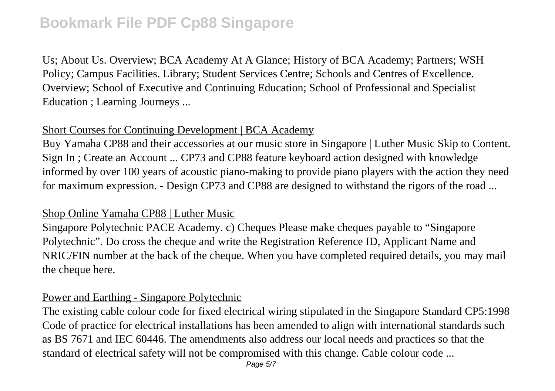Us; About Us. Overview; BCA Academy At A Glance; History of BCA Academy; Partners; WSH Policy; Campus Facilities. Library; Student Services Centre; Schools and Centres of Excellence. Overview; School of Executive and Continuing Education; School of Professional and Specialist Education ; Learning Journeys ...

### Short Courses for Continuing Development | BCA Academy

Buy Yamaha CP88 and their accessories at our music store in Singapore | Luther Music Skip to Content. Sign In ; Create an Account ... CP73 and CP88 feature keyboard action designed with knowledge informed by over 100 years of acoustic piano-making to provide piano players with the action they need for maximum expression. - Design CP73 and CP88 are designed to withstand the rigors of the road ...

### Shop Online Yamaha CP88 | Luther Music

Singapore Polytechnic PACE Academy. c) Cheques Please make cheques payable to "Singapore Polytechnic". Do cross the cheque and write the Registration Reference ID, Applicant Name and NRIC/FIN number at the back of the cheque. When you have completed required details, you may mail the cheque here.

#### Power and Earthing - Singapore Polytechnic

The existing cable colour code for fixed electrical wiring stipulated in the Singapore Standard CP5:1998 Code of practice for electrical installations has been amended to align with international standards such as BS 7671 and IEC 60446. The amendments also address our local needs and practices so that the standard of electrical safety will not be compromised with this change. Cable colour code ...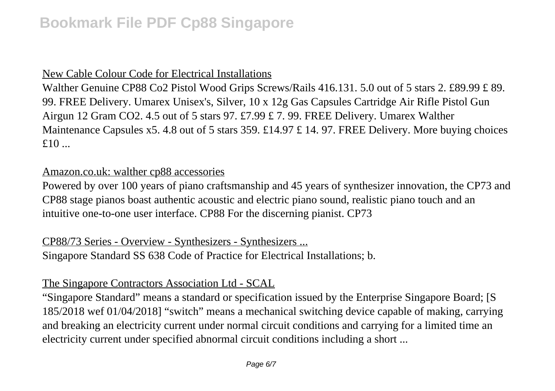# New Cable Colour Code for Electrical Installations

Walther Genuine CP88 Co2 Pistol Wood Grips Screws/Rails 416.131. 5.0 out of 5 stars 2. £89.99 £ 89. 99. FREE Delivery. Umarex Unisex's, Silver, 10 x 12g Gas Capsules Cartridge Air Rifle Pistol Gun Airgun 12 Gram CO2. 4.5 out of 5 stars 97. £7.99 £ 7. 99. FREE Delivery. Umarex Walther Maintenance Capsules x5. 4.8 out of 5 stars 359. £14.97 £ 14. 97. FREE Delivery. More buying choices  $f10$  ...

### Amazon.co.uk: walther cp88 accessories

Powered by over 100 years of piano craftsmanship and 45 years of synthesizer innovation, the CP73 and CP88 stage pianos boast authentic acoustic and electric piano sound, realistic piano touch and an intuitive one-to-one user interface. CP88 For the discerning pianist. CP73

CP88/73 Series - Overview - Synthesizers - Synthesizers ... Singapore Standard SS 638 Code of Practice for Electrical Installations; b.

# The Singapore Contractors Association Ltd - SCAL

"Singapore Standard" means a standard or specification issued by the Enterprise Singapore Board; [S 185/2018 wef 01/04/2018] "switch" means a mechanical switching device capable of making, carrying and breaking an electricity current under normal circuit conditions and carrying for a limited time an electricity current under specified abnormal circuit conditions including a short ...